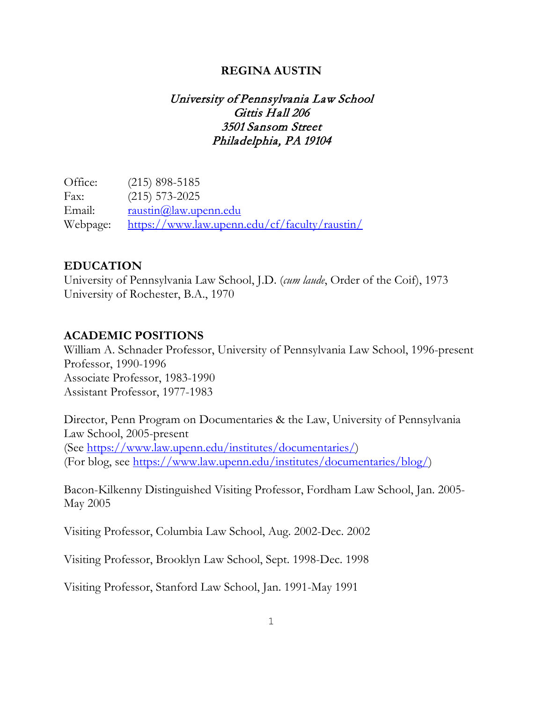#### **REGINA AUSTIN**

# University of Pennsylvania Law School Gittis Hall 206 3501 Sansom Street Philadelphia, PA 19104

Office: (215) 898-5185 Fax: (215) 573-2025 Email: [raustin@law.upenn.edu](mailto:raustin@law.upenn.edu) Webpage: <https://www.law.upenn.edu/cf/faculty/raustin/>

#### **EDUCATION**

University of Pennsylvania Law School, J.D. (*cum laude*, Order of the Coif), 1973 University of Rochester, B.A., 1970

#### **ACADEMIC POSITIONS**

William A. Schnader Professor, University of Pennsylvania Law School, 1996-present Professor, 1990-1996 Associate Professor, 1983-1990 Assistant Professor, 1977-1983

Director, Penn Program on Documentaries & the Law, University of Pennsylvania Law School, 2005-present (See [https://www.law.upenn.edu/institutes/documentaries/\)](https://www.law.upenn.edu/institutes/documentaries/) (For blog, see [https://www.law.upenn.edu/institutes/documentaries/blog/\)](https://www.law.upenn.edu/institutes/documentaries/blog/)

Bacon-Kilkenny Distinguished Visiting Professor, Fordham Law School, Jan. 2005- May 2005

Visiting Professor, Columbia Law School, Aug. 2002-Dec. 2002

Visiting Professor, Brooklyn Law School, Sept. 1998-Dec. 1998

Visiting Professor, Stanford Law School, Jan. 1991-May 1991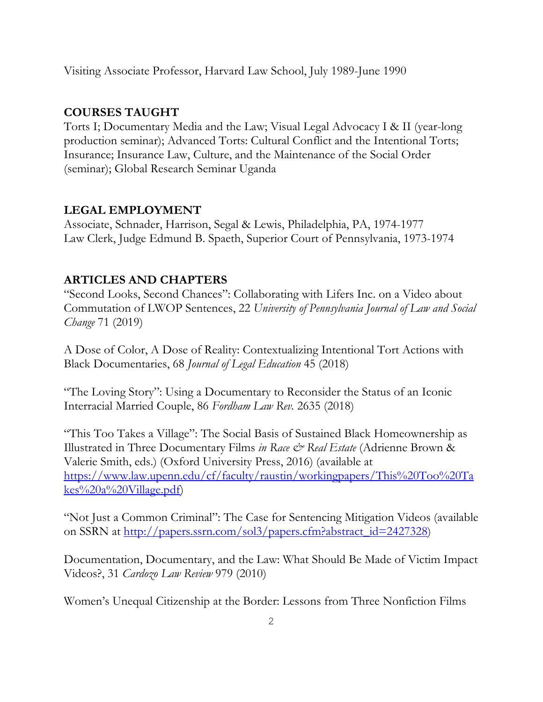Visiting Associate Professor, Harvard Law School, July 1989-June 1990

# **COURSES TAUGHT**

Torts I; Documentary Media and the Law; Visual Legal Advocacy I & II (year-long production seminar); Advanced Torts: Cultural Conflict and the Intentional Torts; Insurance; Insurance Law, Culture, and the Maintenance of the Social Order (seminar); Global Research Seminar Uganda

## **LEGAL EMPLOYMENT**

Associate, Schnader, Harrison, Segal & Lewis, Philadelphia, PA, 1974-1977 Law Clerk, Judge Edmund B. Spaeth, Superior Court of Pennsylvania, 1973-1974

## **ARTICLES AND CHAPTERS**

"Second Looks, Second Chances": Collaborating with Lifers Inc. on a Video about Commutation of LWOP Sentences, 22 *University of Pennsylvania Journal of Law and Social Change* 71 (2019)

A Dose of Color, A Dose of Reality: Contextualizing Intentional Tort Actions with Black Documentaries, 68 *Journal of Legal Education* 45 (2018)

"The Loving Story": Using a Documentary to Reconsider the Status of an Iconic Interracial Married Couple, 86 *Fordham Law Rev.* 2635 (2018)

"This Too Takes a Village": The Social Basis of Sustained Black Homeownership as Illustrated in Three Documentary Films *in Race & Real Estate* (Adrienne Brown & Valerie Smith, eds.) (Oxford University Press, 2016) (available at [https://www.law.upenn.edu/cf/faculty/raustin/workingpapers/This%20Too%20Ta](https://www.law.upenn.edu/cf/faculty/raustin/workingpapers/This%20Too%20Takes%20a%20Village.pdf) [kes%20a%20Village.pdf\)](https://www.law.upenn.edu/cf/faculty/raustin/workingpapers/This%20Too%20Takes%20a%20Village.pdf)

"Not Just a Common Criminal": The Case for Sentencing Mitigation Videos (available on SSRN at [http://papers.ssrn.com/sol3/papers.cfm?abstract\\_id=2427328\)](http://papers.ssrn.com/sol3/papers.cfm?abstract_id=2427328)

Documentation, Documentary, and the Law: What Should Be Made of Victim Impact Videos?, 31 *Cardozo Law Review* 979 (2010)

Women's Unequal Citizenship at the Border: Lessons from Three Nonfiction Films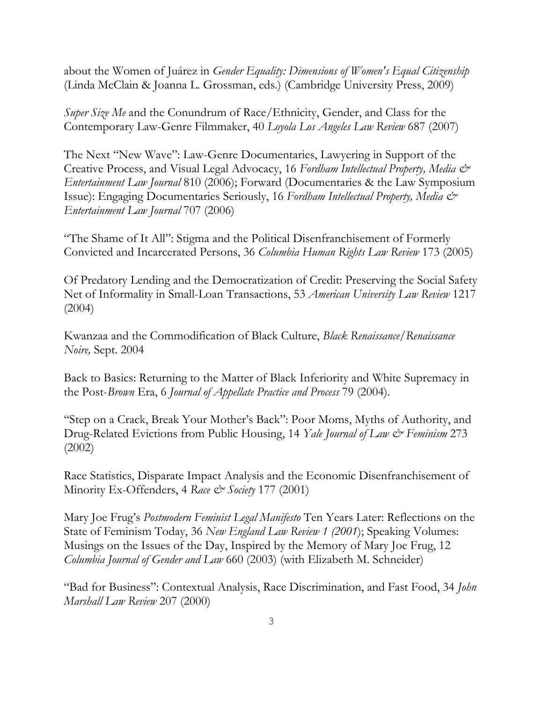about the Women of Juárez in *Gender Equality: Dimensions of Women's Equal Citizenship* (Linda McClain & Joanna L. Grossman, eds.) (Cambridge University Press, 2009)

*Super Size Me* and the Conundrum of Race/Ethnicity, Gender, and Class for the Contemporary Law-Genre Filmmaker, 40 *Loyola Los Angeles Law Review* 687 (2007)

The Next "New Wave": Law-Genre Documentaries, Lawyering in Support of the Creative Process, and Visual Legal Advocacy, 16 *Fordham Intellectual Property, Media & Entertainment Law Journal* 810 (2006); Forward (Documentaries & the Law Symposium Issue): Engaging Documentaries Seriously, 16 *Fordham Intellectual Property, Media & Entertainment Law Journal* 707 (2006)

"The Shame of It All": Stigma and the Political Disenfranchisement of Formerly Convicted and Incarcerated Persons, 36 *Columbia Human Rights Law Review* 173 (2005)

Of Predatory Lending and the Democratization of Credit: Preserving the Social Safety Net of Informality in Small-Loan Transactions, 53 *American University Law Review* 1217 (2004)

Kwanzaa and the Commodification of Black Culture, *Black Renaissance/Renaissance Noire,* Sept. 2004

Back to Basics: Returning to the Matter of Black Inferiority and White Supremacy in the Post-*Brown* Era, 6 *Journal of Appellate Practice and Process* 79 (2004).

"Step on a Crack, Break Your Mother's Back": Poor Moms, Myths of Authority, and Drug-Related Evictions from Public Housing, 14 *Yale Journal of Law & Feminism* 273 (2002)

Race Statistics, Disparate Impact Analysis and the Economic Disenfranchisement of Minority Ex-Offenders, 4 *Race & Society* 177 (2001)

Mary Joe Frug's *Postmodern Feminist Legal Manifesto* Ten Years Later: Reflections on the State of Feminism Today, 36 *New England Law Review 1 (2001*); Speaking Volumes: Musings on the Issues of the Day, Inspired by the Memory of Mary Joe Frug, 12 *Columbia Journal of Gender and Law* 660 (2003) (with Elizabeth M. Schneider)

"Bad for Business": Contextual Analysis, Race Discrimination, and Fast Food, 34 *John Marshall Law Review* 207 (2000)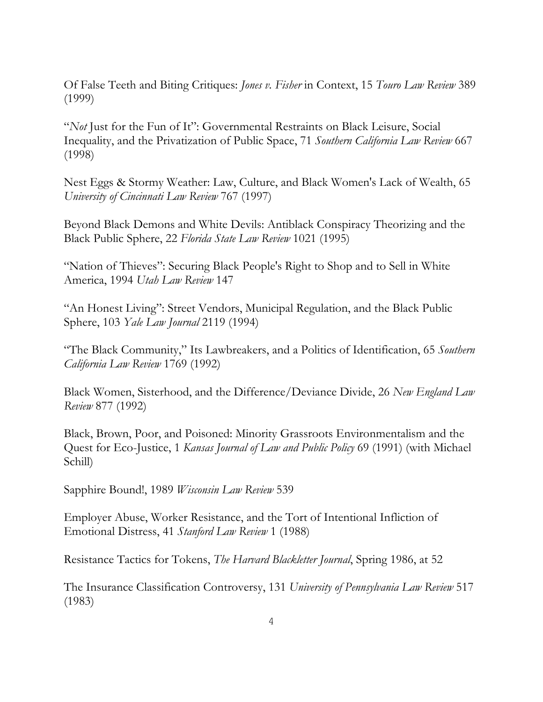Of False Teeth and Biting Critiques: *Jones v. Fisher* in Context, 15 *Touro Law Review* 389 (1999)

"*Not* Just for the Fun of It": Governmental Restraints on Black Leisure, Social Inequality, and the Privatization of Public Space, 71 *Southern California Law Review* 667 (1998)

Nest Eggs & Stormy Weather: Law, Culture, and Black Women's Lack of Wealth, 65 *University of Cincinnati Law Review* 767 (1997)

Beyond Black Demons and White Devils: Antiblack Conspiracy Theorizing and the Black Public Sphere, 22 *Florida State Law Review* 1021 (1995)

"Nation of Thieves": Securing Black People's Right to Shop and to Sell in White America, 1994 *Utah Law Review* 147

"An Honest Living": Street Vendors, Municipal Regulation, and the Black Public Sphere, 103 *Yale Law Journal* 2119 (1994)

"The Black Community," Its Lawbreakers, and a Politics of Identification, 65 *Southern California Law Review* 1769 (1992)

Black Women, Sisterhood, and the Difference/Deviance Divide, 26 *New England Law Review* 877 (1992)

Black, Brown, Poor, and Poisoned: Minority Grassroots Environmentalism and the Quest for Eco-Justice, 1 *Kansas Journal of Law and Public Policy* 69 (1991) (with Michael Schill)

Sapphire Bound!, 1989 *Wisconsin Law Review* 539

Employer Abuse, Worker Resistance, and the Tort of Intentional Infliction of Emotional Distress, 41 *Stanford Law Review* 1 (1988)

Resistance Tactics for Tokens, *The Harvard Blackletter Journal*, Spring 1986, at 52

The Insurance Classification Controversy, 131 *University of Pennsylvania Law Review* 517 (1983)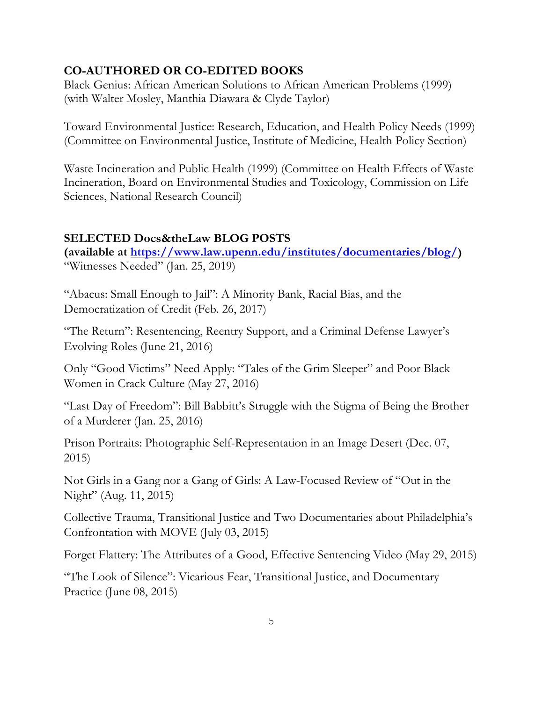### **CO-AUTHORED OR CO-EDITED BOOKS**

Black Genius: African American Solutions to African American Problems (1999) (with Walter Mosley, Manthia Diawara & Clyde Taylor)

Toward Environmental Justice: Research, Education, and Health Policy Needs (1999) (Committee on Environmental Justice, Institute of Medicine, Health Policy Section)

Waste Incineration and Public Health (1999) (Committee on Health Effects of Waste Incineration, Board on Environmental Studies and Toxicology, Commission on Life Sciences, National Research Council)

### **SELECTED Docs&theLaw BLOG POSTS**

**(available at [https://www.law.upenn.edu/institutes/documentaries/blog/\)](https://www.law.upenn.edu/institutes/documentaries/blog/)** "Witnesses Needed" (Jan. 25, 2019)

"Abacus: Small Enough to Jail": A Minority Bank, Racial Bias, and the Democratization of Credit (Feb. 26, 2017)

"The Return": Resentencing, Reentry Support, and a Criminal Defense Lawyer's Evolving Roles (June 21, 2016)

Only "Good Victims" Need Apply: "Tales of the Grim Sleeper" and Poor Black Women in Crack Culture (May 27, 2016)

"Last Day of Freedom": Bill Babbitt's Struggle with the Stigma of Being the Brother of a Murderer (Jan. 25, 2016)

Prison Portraits: Photographic Self-Representation in an Image Desert (Dec. 07, 2015)

Not Girls in a Gang nor a Gang of Girls: A Law-Focused Review of "Out in the Night" (Aug. 11, 2015)

Collective Trauma, Transitional Justice and Two Documentaries about Philadelphia's Confrontation with MOVE (July 03, 2015)

Forget Flattery: The Attributes of a Good, Effective Sentencing Video (May 29, 2015)

"The Look of Silence": Vicarious Fear, Transitional Justice, and Documentary Practice (June 08, 2015)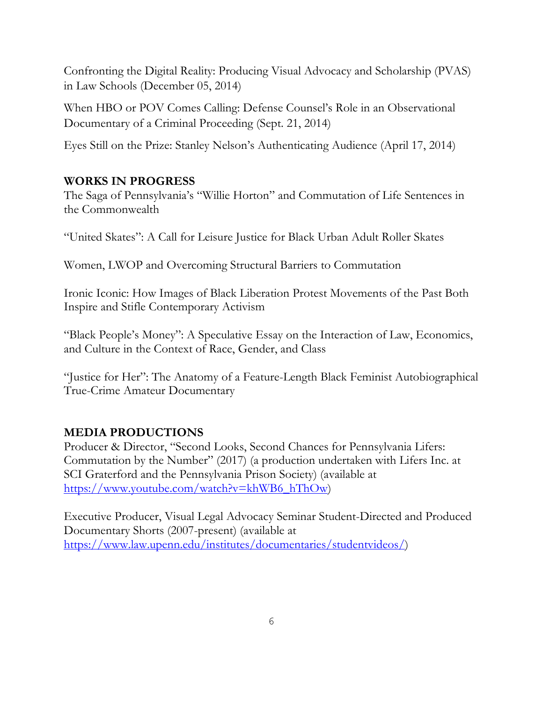Confronting the Digital Reality: Producing Visual Advocacy and Scholarship (PVAS) in Law Schools (December 05, 2014)

When HBO or POV Comes Calling: Defense Counsel's Role in an Observational Documentary of a Criminal Proceeding (Sept. 21, 2014)

Eyes Still on the Prize: Stanley Nelson's Authenticating Audience (April 17, 2014)

# **WORKS IN PROGRESS**

The Saga of Pennsylvania's "Willie Horton" and Commutation of Life Sentences in the Commonwealth

"United Skates": A Call for Leisure Justice for Black Urban Adult Roller Skates

Women, LWOP and Overcoming Structural Barriers to Commutation

Ironic Iconic: How Images of Black Liberation Protest Movements of the Past Both Inspire and Stifle Contemporary Activism

"Black People's Money": A Speculative Essay on the Interaction of Law, Economics, and Culture in the Context of Race, Gender, and Class

"Justice for Her": The Anatomy of a Feature-Length Black Feminist Autobiographical True-Crime Amateur Documentary

## **MEDIA PRODUCTIONS**

Producer & Director, "Second Looks, Second Chances for Pennsylvania Lifers: Commutation by the Number" (2017) (a production undertaken with Lifers Inc. at SCI Graterford and the Pennsylvania Prison Society) (available at [https://www.youtube.com/watch?v=khWB6\\_hThOw\)](https://www.youtube.com/watch?v=khWB6_hThOw)

Executive Producer, Visual Legal Advocacy Seminar Student-Directed and Produced Documentary Shorts (2007-present) (available at [https://www.law.upenn.edu/institutes/documentaries/studentvideos/\)](https://www.law.upenn.edu/institutes/documentaries/studentvideos/)